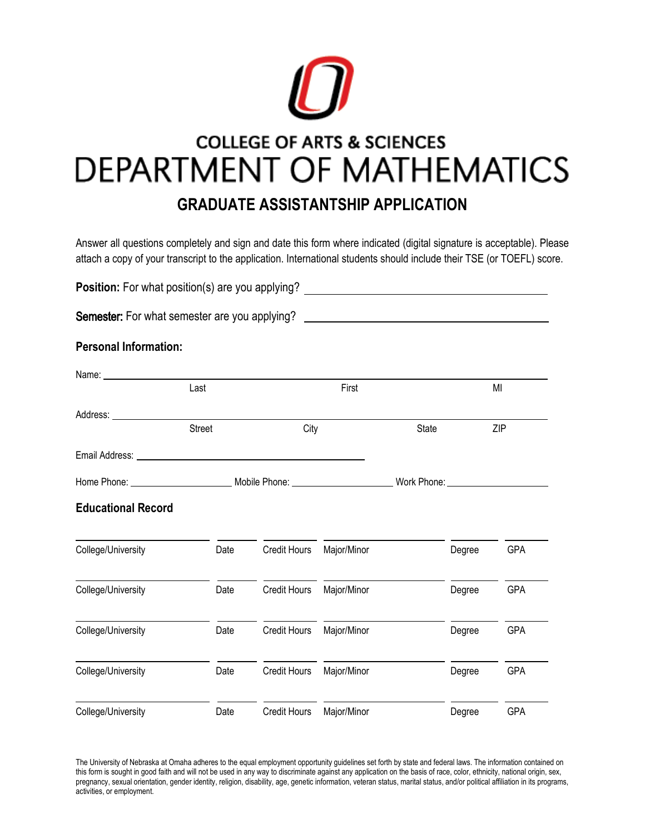

# **COLLEGE OF ARTS & SCIENCES** DEPARTMENT OF MATHEMATICS

# **GRADUATE ASSISTANTSHIP APPLICATION**

Answer all questions completely and sign and date this form where indicated (digital signature is acceptable). Please attach a copy of your transcript to the application. International students should include their TSE (or TOEFL) score.

| Position: For what position(s) are you applying? |               |                     |             |                                                                                                                     |        |            |
|--------------------------------------------------|---------------|---------------------|-------------|---------------------------------------------------------------------------------------------------------------------|--------|------------|
| Semester: For what semester are you applying?    |               |                     |             | <u> 1989 - Johann Barn, mars ann an t-Amhain an t-Amhain an t-Amhain an t-Amhain an t-Amhain an t-Amhain an t-A</u> |        |            |
| <b>Personal Information:</b>                     |               |                     |             |                                                                                                                     |        |            |
|                                                  |               |                     |             |                                                                                                                     |        |            |
|                                                  | Last          | First               |             |                                                                                                                     | MI     |            |
|                                                  | <b>Street</b> | City                |             | State                                                                                                               |        | ZIP        |
|                                                  |               |                     |             |                                                                                                                     |        |            |
|                                                  |               |                     |             |                                                                                                                     |        |            |
| <b>Educational Record</b>                        |               |                     |             |                                                                                                                     |        |            |
| College/University                               | Date          | <b>Credit Hours</b> | Major/Minor |                                                                                                                     | Degree | GPA        |
| College/University                               | Date          | <b>Credit Hours</b> | Major/Minor |                                                                                                                     | Degree | <b>GPA</b> |
| College/University                               | Date          | <b>Credit Hours</b> | Major/Minor |                                                                                                                     | Degree | GPA        |
| College/University                               | Date          | <b>Credit Hours</b> | Major/Minor |                                                                                                                     | Degree | <b>GPA</b> |
| College/University                               | Date          | <b>Credit Hours</b> | Major/Minor |                                                                                                                     | Degree | GPA        |

The University of Nebraska at Omaha adheres to the equal employment opportunity guidelines set forth by state and federal laws. The information contained on this form is sought in good faith and will not be used in any way to discriminate against any application on the basis of race, color, ethnicity, national origin, sex, pregnancy, sexual orientation, gender identity, religion, disability, age, genetic information, veteran status, marital status, and/or political affiliation in its programs, activities, or employment.